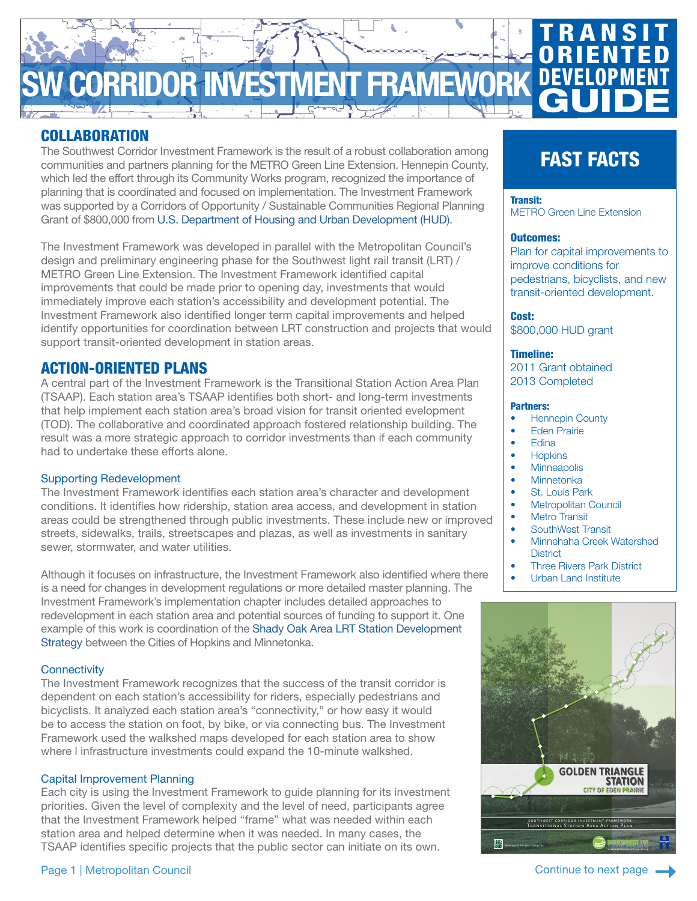# CORRIDOR INVESTMENT FRAMEW **TRANSIT ORIENTED** DEVEL **GUIDE**

# COLLABORATION

The Southwest Corridor Investment Framework is the result of a robust collaboration among communities and partners planning for the METRO Green Line Extension. Hennepin County, which led the effort through its Community Works program, recognized the importance of planning that is coordinated and focused on implementation. The Investment Framework was supported by a Corridors of Opportunity / Sustainable Communities Regional Planning Grant of \$800,000 from [U.S. Department of Housing and Urban Development \(HUD\).](https://www.hud.gov/program_offices/economic_development/sustainable_communities_regional_planning_grants)

The Investment Framework was developed in parallel with the Metropolitan Council's design and preliminary engineering phase for the Southwest light rail transit (LRT) / METRO Green Line Extension. The Investment Framework identified capital improvements that could be made prior to opening day, investments that would immediately improve each station's accessibility and development potential. The Investment Framework also identified longer term capital improvements and helped identify opportunities for coordination between LRT construction and projects that would support transit-oriented development in station areas.

# ACTION-ORIENTED PLANS

A central part of the Investment Framework is the Transitional Station Action Area Plan (TSAAP). Each station area's TSAAP identifies both short- and long-term investments that help implement each station area's broad vision for transit oriented evelopment (TOD). The collaborative and coordinated approach fostered relationship building. The result was a more strategic approach to corridor investments than if each community had to undertake these efforts alone.

#### Supporting Redevelopment

The Investment Framework identifies each station area's character and development conditions. It identifies how ridership, station area access, and development in station areas could be strengthened through public investments. These include new or improved streets, sidewalks, trails, streetscapes and plazas, as well as investments in sanitary sewer, stormwater, and water utilities.

Although it focuses on infrastructure, the Investment Framework also identified where there is a need for changes in development regulations or more detailed master planning. The Investment Framework's implementation chapter includes detailed approaches to redevelopment in each station area and potential sources of funding to support it. One example of this work is coordination of the [Shady Oak Area LRT Station Development](https://eminnetonka.com/current-projects/planning-projects/1340-shady-oak-area-development-strategy)  [Strategy](https://eminnetonka.com/current-projects/planning-projects/1340-shady-oak-area-development-strategy) between the Cities of Hopkins and Minnetonka.

#### **Connectivity**

The Investment Framework recognizes that the success of the transit corridor is dependent on each station's accessibility for riders, especially pedestrians and bicyclists. It analyzed each station area's "connectivity," or how easy it would be to access the station on foot, by bike, or via connecting bus. The Investment Framework used the walkshed maps developed for each station area to show where l infrastructure investments could expand the 10-minute walkshed.

#### Capital Improvement Planning

Each city is using the Investment Framework to guide planning for its investment priorities. Given the level of complexity and the level of need, participants agree that the Investment Framework helped "frame" what was needed within each station area and helped determine when it was needed. In many cases, the TSAAP identifies specific projects that the public sector can initiate on its own.

# FAST FACTS

#### Transit:

METRO Green Line Extension

#### Outcomes:

Plan for capital improvements to improve conditions for pedestrians, bicyclists, and new transit-oriented development.

Cost: \$800,000 HUD grant

#### Timeline:

2011 Grant obtained 2013 Completed

#### Partners:

- **Hennepin County**
- Eden Prairie
- Edina
- **Hopkins**
- Minneapolis
- **Minnetonka**
- St. Louis Park
- **Metropolitan Council**
- **Metro Transit**
- SouthWest Transit
- Minnehaha Creek Watershed **District**
- **Three Rivers Park District** 
	- Urban Land Institute



Page 1 | Metropolitan Council

Continue to next page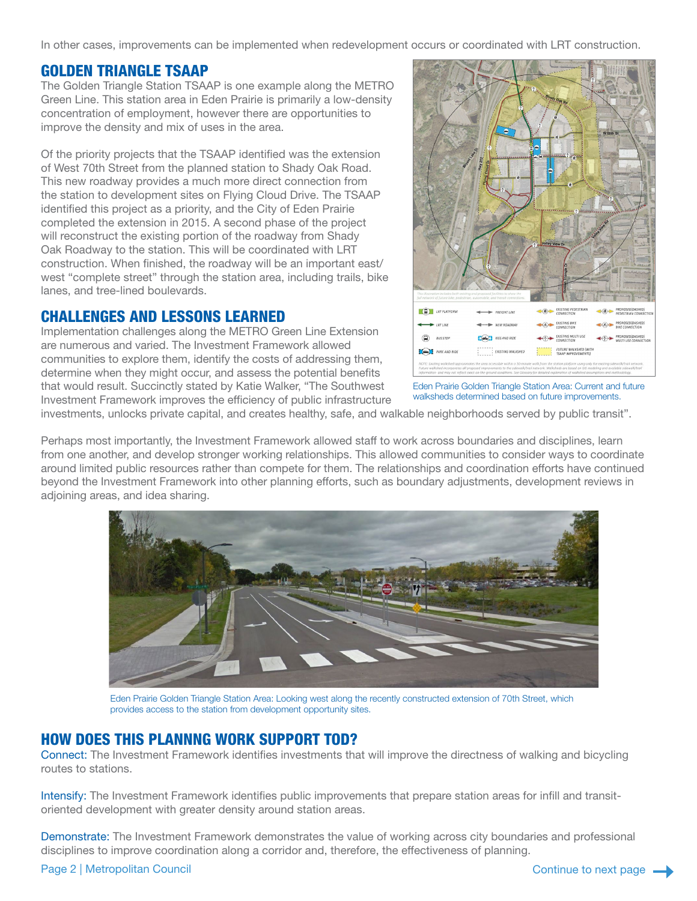In other cases, improvements can be implemented when redevelopment occurs or coordinated with LRT construction.

## GOLDEN TRIANGLE TSAAP

The Golden Triangle Station TSAAP is one example along the METRO Green Line. This station area in Eden Prairie is primarily a low-density concentration of employment, however there are opportunities to improve the density and mix of uses in the area.

Of the priority projects that the TSAAP identified was the extension of West 70th Street from the planned station to Shady Oak Road. This new roadway provides a much more direct connection from the station to development sites on Flying Cloud Drive. The TSAAP identified this project as a priority, and the City of Eden Prairie completed the extension in 2015. A second phase of the project will reconstruct the existing portion of the roadway from Shady Oak Roadway to the station. This will be coordinated with LRT construction. When finished, the roadway will be an important east/ west "complete street" through the station area, including trails, bike lanes, and tree-lined boulevards.

## CHALLENGES AND LESSONS LEARNED

Implementation challenges along the METRO Green Line Extension are numerous and varied. The Investment Framework allowed communities to explore them, identify the costs of addressing them, determine when they might occur, and assess the potential benefits that would result. Succinctly stated by Katie Walker, "The Southwest Investment Framework improves the efficiency of public infrastructure



Eden Prairie Golden Triangle Station Area: Current and future walksheds determined based on future improvements.

investments, unlocks private capital, and creates healthy, safe, and walkable neighborhoods served by public transit".

Perhaps most importantly, the Investment Framework allowed staff to work across boundaries and disciplines, learn from one another, and develop stronger working relationships. This allowed communities to consider ways to coordinate around limited public resources rather than compete for them. The relationships and coordination efforts have continued beyond the Investment Framework into other planning efforts, such as boundary adjustments, development reviews in adjoining areas, and idea sharing.



Eden Prairie Golden Triangle Station Area: Looking west along the recently constructed extension of 70th Street, which provides access to the station from development opportunity sites.

## HOW DOES THIS PLANNNG WORK SUPPORT TOD?

Connect: The Investment Framework identifies investments that will improve the directness of walking and bicycling routes to stations.

Intensify: The Investment Framework identifies public improvements that prepare station areas for infill and transitoriented development with greater density around station areas.

Demonstrate: The Investment Framework demonstrates the value of working across city boundaries and professional disciplines to improve coordination along a corridor and, therefore, the effectiveness of planning.

#### Page 2 | Metropolitan Council **Continue to next page Access 2** Continue to next page Access 2 | Metropolitan Council Continue to next page Access 2 | Metropolitan Council Continue to next page Access 2 | Metropolitan Counc